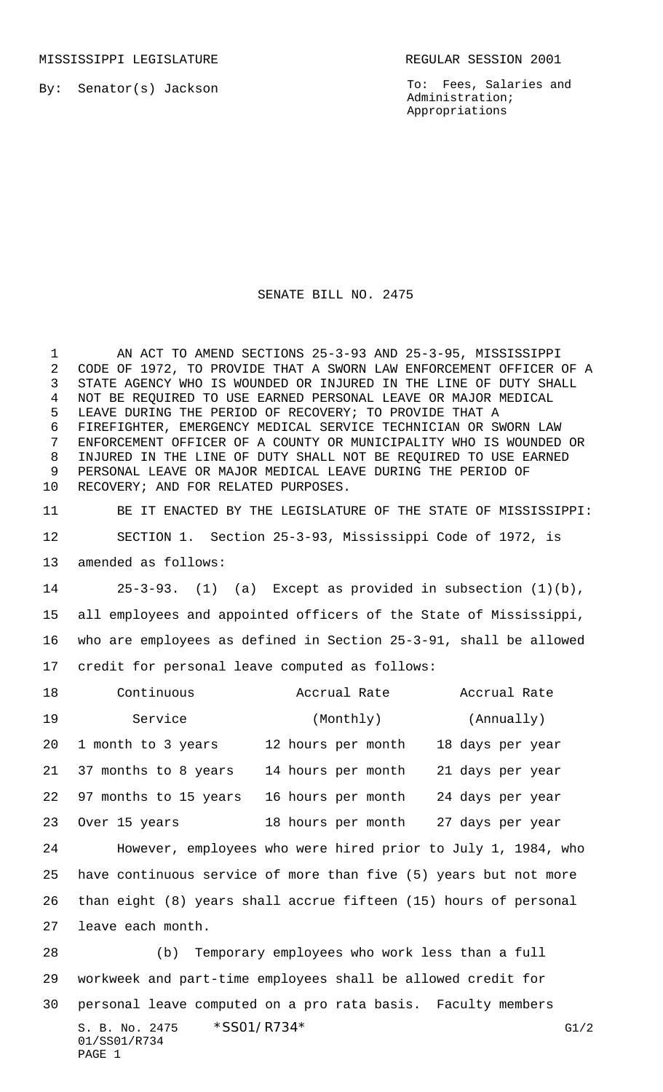MISSISSIPPI LEGISLATURE **REGULAR SESSION 2001** 

By: Senator(s) Jackson

To: Fees, Salaries and Administration; Appropriations

## SENATE BILL NO. 2475

 AN ACT TO AMEND SECTIONS 25-3-93 AND 25-3-95, MISSISSIPPI CODE OF 1972, TO PROVIDE THAT A SWORN LAW ENFORCEMENT OFFICER OF A STATE AGENCY WHO IS WOUNDED OR INJURED IN THE LINE OF DUTY SHALL NOT BE REQUIRED TO USE EARNED PERSONAL LEAVE OR MAJOR MEDICAL LEAVE DURING THE PERIOD OF RECOVERY; TO PROVIDE THAT A FIREFIGHTER, EMERGENCY MEDICAL SERVICE TECHNICIAN OR SWORN LAW ENFORCEMENT OFFICER OF A COUNTY OR MUNICIPALITY WHO IS WOUNDED OR INJURED IN THE LINE OF DUTY SHALL NOT BE REQUIRED TO USE EARNED PERSONAL LEAVE OR MAJOR MEDICAL LEAVE DURING THE PERIOD OF RECOVERY; AND FOR RELATED PURPOSES.

 BE IT ENACTED BY THE LEGISLATURE OF THE STATE OF MISSISSIPPI: SECTION 1. Section 25-3-93, Mississippi Code of 1972, is amended as follows:

 25-3-93. (1) (a) Except as provided in subsection (1)(b), all employees and appointed officers of the State of Mississippi, who are employees as defined in Section 25-3-91, shall be allowed credit for personal leave computed as follows:

| 18 | Continuous                                                       | Accrual Rate                                                 | Accrual Rate     |  |  |
|----|------------------------------------------------------------------|--------------------------------------------------------------|------------------|--|--|
| 19 | Service                                                          | (Monthly)                                                    | (Annually)       |  |  |
| 20 | 1 month to 3 years                                               | 12 hours per month                                           | 18 days per year |  |  |
| 21 | 37 months to 8 years                                             | 14 hours per month                                           | 21 days per year |  |  |
| 22 | 97 months to 15 years                                            | 16 hours per month                                           | 24 days per year |  |  |
| 23 | Over 15 years                                                    | 18 hours per month                                           | 27 days per year |  |  |
| 24 |                                                                  | However, employees who were hired prior to July 1, 1984, who |                  |  |  |
| 25 | have continuous service of more than five (5) years but not more |                                                              |                  |  |  |
| 26 | than eight (8) years shall accrue fifteen (15) hours of personal |                                                              |                  |  |  |
| 27 | leave each month.                                                |                                                              |                  |  |  |
| 28 | (b) Temporary employees who work less than a full                |                                                              |                  |  |  |
| 29 | workweek and part-time employees shall be allowed credit for     |                                                              |                  |  |  |
| 30 | personal leave computed on a pro rata basis. Faculty members     |                                                              |                  |  |  |
|    | S. B. No. 2475<br>01/SS01/R734                                   | *SS01/R734*                                                  | G1/2             |  |  |

PAGE 1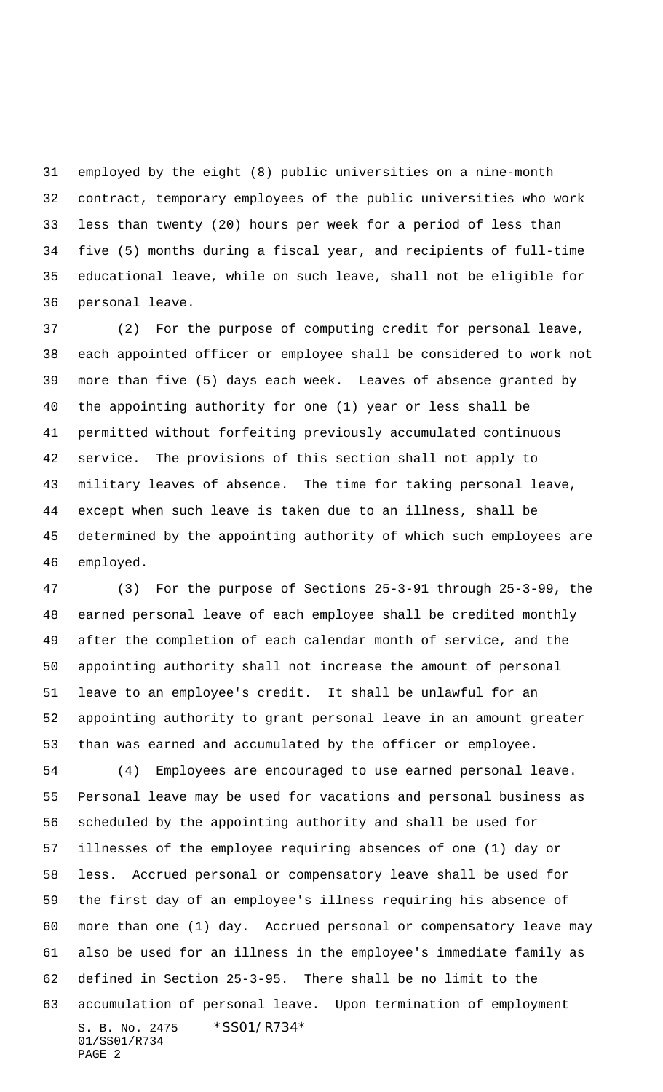employed by the eight (8) public universities on a nine-month contract, temporary employees of the public universities who work less than twenty (20) hours per week for a period of less than five (5) months during a fiscal year, and recipients of full-time educational leave, while on such leave, shall not be eligible for personal leave.

 (2) For the purpose of computing credit for personal leave, each appointed officer or employee shall be considered to work not more than five (5) days each week. Leaves of absence granted by the appointing authority for one (1) year or less shall be permitted without forfeiting previously accumulated continuous service. The provisions of this section shall not apply to military leaves of absence. The time for taking personal leave, except when such leave is taken due to an illness, shall be determined by the appointing authority of which such employees are employed.

 (3) For the purpose of Sections 25-3-91 through 25-3-99, the earned personal leave of each employee shall be credited monthly after the completion of each calendar month of service, and the appointing authority shall not increase the amount of personal leave to an employee's credit. It shall be unlawful for an appointing authority to grant personal leave in an amount greater than was earned and accumulated by the officer or employee.

S. B. No. 2475 \*SS01/R734\* 01/SS01/R734 PAGE 2 (4) Employees are encouraged to use earned personal leave. Personal leave may be used for vacations and personal business as scheduled by the appointing authority and shall be used for illnesses of the employee requiring absences of one (1) day or less. Accrued personal or compensatory leave shall be used for the first day of an employee's illness requiring his absence of more than one (1) day. Accrued personal or compensatory leave may also be used for an illness in the employee's immediate family as defined in Section 25-3-95. There shall be no limit to the accumulation of personal leave. Upon termination of employment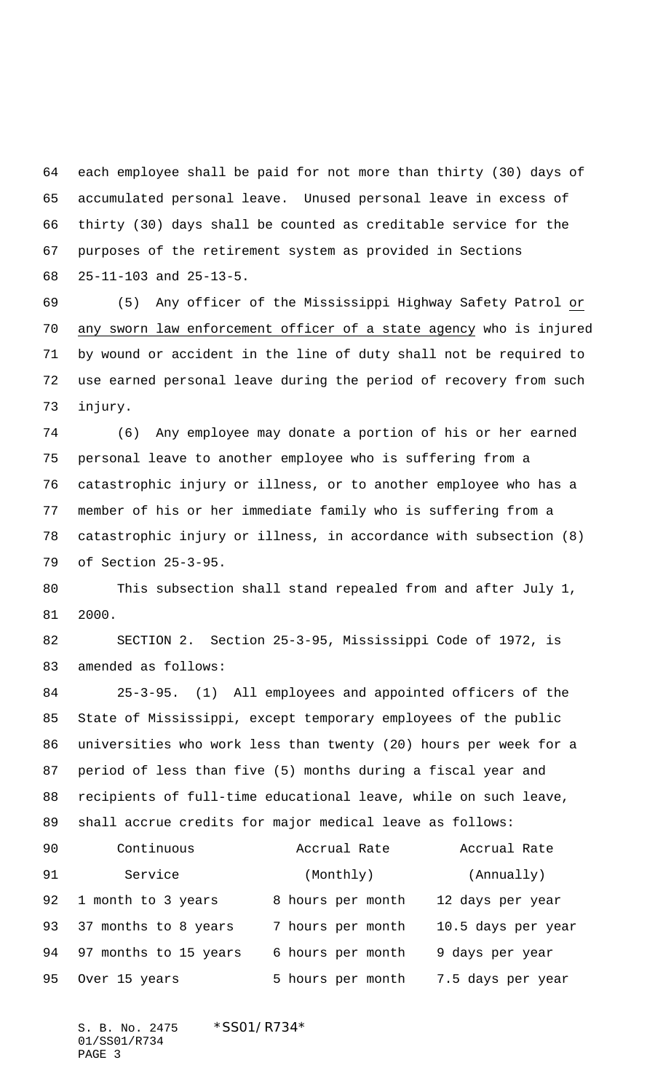each employee shall be paid for not more than thirty (30) days of accumulated personal leave. Unused personal leave in excess of thirty (30) days shall be counted as creditable service for the purposes of the retirement system as provided in Sections 25-11-103 and 25-13-5.

 (5) Any officer of the Mississippi Highway Safety Patrol or any sworn law enforcement officer of a state agency who is injured by wound or accident in the line of duty shall not be required to use earned personal leave during the period of recovery from such injury.

 (6) Any employee may donate a portion of his or her earned personal leave to another employee who is suffering from a catastrophic injury or illness, or to another employee who has a member of his or her immediate family who is suffering from a catastrophic injury or illness, in accordance with subsection (8) of Section 25-3-95.

 This subsection shall stand repealed from and after July 1, 2000.

 SECTION 2. Section 25-3-95, Mississippi Code of 1972, is amended as follows:

 25-3-95. (1) All employees and appointed officers of the State of Mississippi, except temporary employees of the public universities who work less than twenty (20) hours per week for a period of less than five (5) months during a fiscal year and recipients of full-time educational leave, while on such leave, shall accrue credits for major medical leave as follows:

| 90 | Continuous            | Accrual Rate      | Accrual Rate       |
|----|-----------------------|-------------------|--------------------|
| 91 | Service               | (Monthly)         | (Annually)         |
| 92 | 1 month to 3 years    | 8 hours per month | 12 days per year   |
| 93 | 37 months to 8 years  | 7 hours per month | 10.5 days per year |
| 94 | 97 months to 15 years | 6 hours per month | 9 days per year    |
| 95 | Over 15 years         | 5 hours per month | 7.5 days per year  |

S. B. No. 2475 \* SS01/R734\* 01/SS01/R734 PAGE 3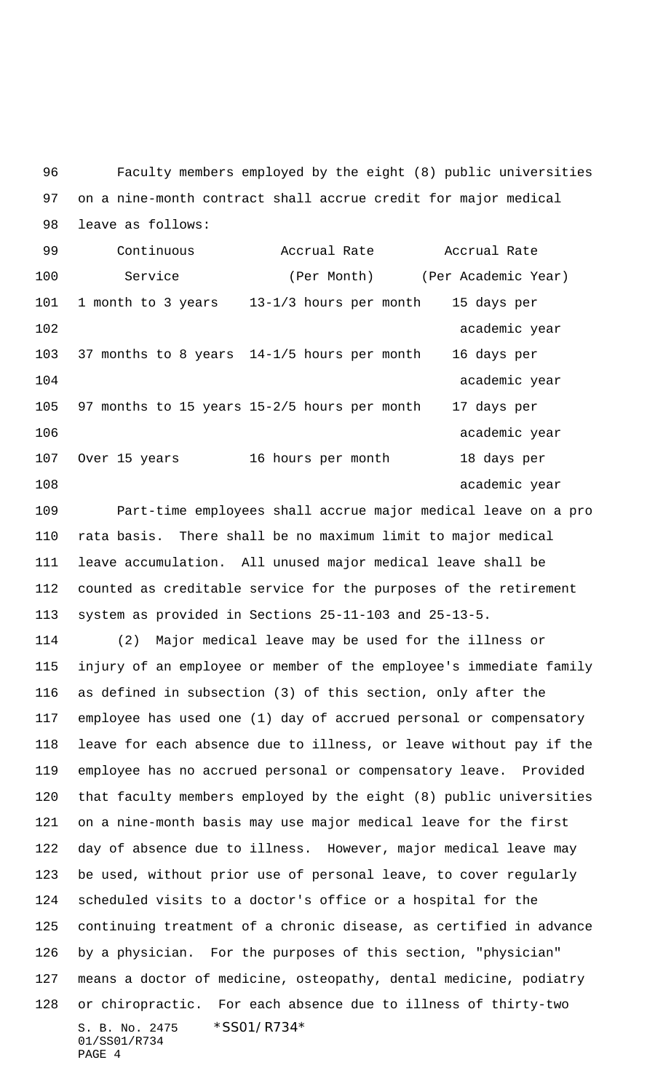Faculty members employed by the eight (8) public universities on a nine-month contract shall accrue credit for major medical leave as follows:

 Continuous Accrual Rate Accrual Rate 100 Service (Per Month) (Per Academic Year) 1 month to 3 years 13-1/3 hours per month 15 days per 102 academic year 37 months to 8 years 14-1/5 hours per month 16 days per 104 academic year 97 months to 15 years 15-2/5 hours per month 17 days per 106 academic year Over 15 years 16 hours per month 18 days per 108 academic year

 Part-time employees shall accrue major medical leave on a pro rata basis. There shall be no maximum limit to major medical leave accumulation. All unused major medical leave shall be counted as creditable service for the purposes of the retirement system as provided in Sections 25-11-103 and 25-13-5.

S. B. No. 2475 \* SS01/R734\* 01/SS01/R734 PAGE 4 (2) Major medical leave may be used for the illness or injury of an employee or member of the employee's immediate family as defined in subsection (3) of this section, only after the employee has used one (1) day of accrued personal or compensatory leave for each absence due to illness, or leave without pay if the employee has no accrued personal or compensatory leave. Provided that faculty members employed by the eight (8) public universities on a nine-month basis may use major medical leave for the first day of absence due to illness. However, major medical leave may be used, without prior use of personal leave, to cover regularly scheduled visits to a doctor's office or a hospital for the continuing treatment of a chronic disease, as certified in advance by a physician. For the purposes of this section, "physician" means a doctor of medicine, osteopathy, dental medicine, podiatry or chiropractic. For each absence due to illness of thirty-two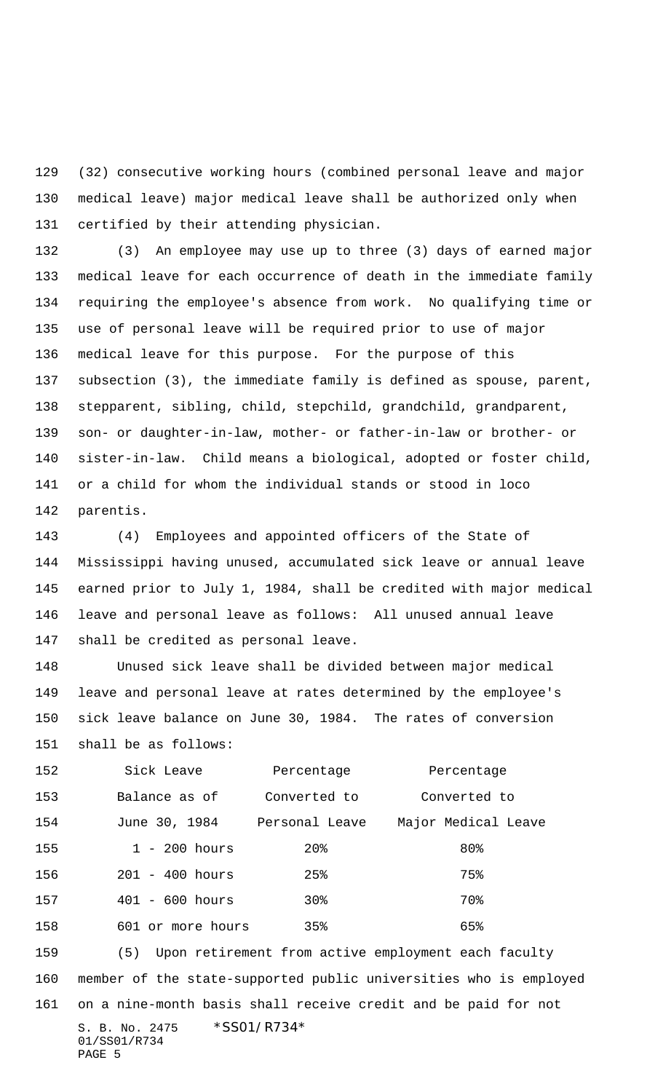(32) consecutive working hours (combined personal leave and major medical leave) major medical leave shall be authorized only when certified by their attending physician.

 (3) An employee may use up to three (3) days of earned major medical leave for each occurrence of death in the immediate family requiring the employee's absence from work. No qualifying time or use of personal leave will be required prior to use of major medical leave for this purpose. For the purpose of this subsection (3), the immediate family is defined as spouse, parent, stepparent, sibling, child, stepchild, grandchild, grandparent, son- or daughter-in-law, mother- or father-in-law or brother- or sister-in-law. Child means a biological, adopted or foster child, or a child for whom the individual stands or stood in loco parentis.

 (4) Employees and appointed officers of the State of Mississippi having unused, accumulated sick leave or annual leave earned prior to July 1, 1984, shall be credited with major medical leave and personal leave as follows: All unused annual leave shall be credited as personal leave.

 Unused sick leave shall be divided between major medical leave and personal leave at rates determined by the employee's sick leave balance on June 30, 1984. The rates of conversion shall be as follows:

| 152 | Sick Leave                | Percentage     | Percentage          |
|-----|---------------------------|----------------|---------------------|
| 153 | Balance as of             | Converted to   | Converted to        |
| 154 | June 30, 1984             | Personal Leave | Major Medical Leave |
| 155 | $1 - 200$ hours           | $20\%$         | 80%                 |
| 156 | $201 - 400$ hours         | 25%            | 75%                 |
| 157 | $401 - 600 \text{ hours}$ | 30%            | 70%                 |
| 158 | 601 or more hours         | $35\%$         | 65%                 |

S. B. No. 2475 \* SS01/R734\* (5) Upon retirement from active employment each faculty member of the state-supported public universities who is employed on a nine-month basis shall receive credit and be paid for not

01/SS01/R734 PAGE 5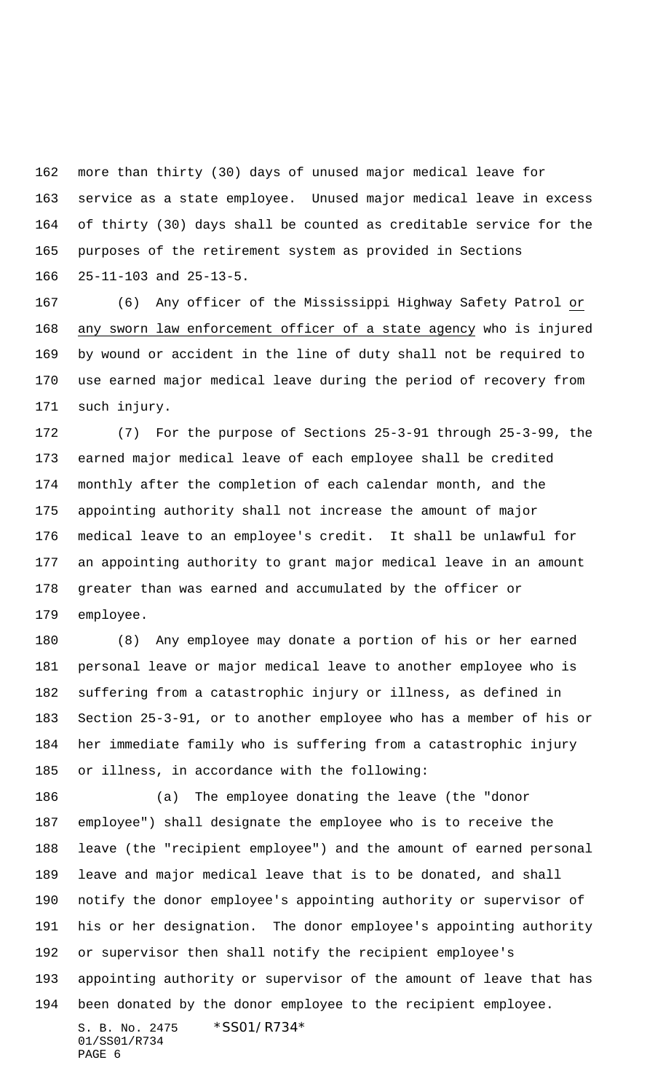more than thirty (30) days of unused major medical leave for service as a state employee. Unused major medical leave in excess of thirty (30) days shall be counted as creditable service for the purposes of the retirement system as provided in Sections 25-11-103 and 25-13-5.

 (6) Any officer of the Mississippi Highway Safety Patrol or any sworn law enforcement officer of a state agency who is injured by wound or accident in the line of duty shall not be required to use earned major medical leave during the period of recovery from such injury.

 (7) For the purpose of Sections 25-3-91 through 25-3-99, the earned major medical leave of each employee shall be credited monthly after the completion of each calendar month, and the appointing authority shall not increase the amount of major medical leave to an employee's credit. It shall be unlawful for an appointing authority to grant major medical leave in an amount greater than was earned and accumulated by the officer or employee.

 (8) Any employee may donate a portion of his or her earned personal leave or major medical leave to another employee who is suffering from a catastrophic injury or illness, as defined in Section 25-3-91, or to another employee who has a member of his or her immediate family who is suffering from a catastrophic injury or illness, in accordance with the following:

S. B. No. 2475 \*SS01/R734\* 01/SS01/R734 (a) The employee donating the leave (the "donor employee") shall designate the employee who is to receive the leave (the "recipient employee") and the amount of earned personal leave and major medical leave that is to be donated, and shall notify the donor employee's appointing authority or supervisor of his or her designation. The donor employee's appointing authority or supervisor then shall notify the recipient employee's appointing authority or supervisor of the amount of leave that has been donated by the donor employee to the recipient employee.

```
PAGE 6
```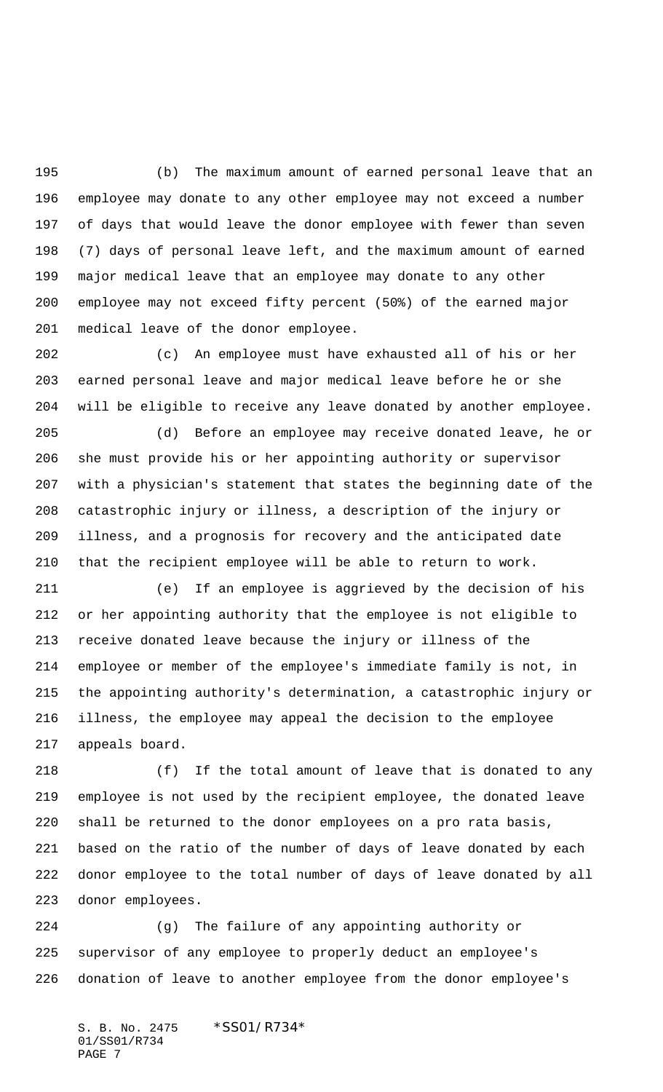(b) The maximum amount of earned personal leave that an employee may donate to any other employee may not exceed a number of days that would leave the donor employee with fewer than seven (7) days of personal leave left, and the maximum amount of earned major medical leave that an employee may donate to any other employee may not exceed fifty percent (50%) of the earned major medical leave of the donor employee.

 (c) An employee must have exhausted all of his or her earned personal leave and major medical leave before he or she will be eligible to receive any leave donated by another employee.

 (d) Before an employee may receive donated leave, he or she must provide his or her appointing authority or supervisor with a physician's statement that states the beginning date of the catastrophic injury or illness, a description of the injury or illness, and a prognosis for recovery and the anticipated date that the recipient employee will be able to return to work.

 (e) If an employee is aggrieved by the decision of his or her appointing authority that the employee is not eligible to receive donated leave because the injury or illness of the employee or member of the employee's immediate family is not, in the appointing authority's determination, a catastrophic injury or illness, the employee may appeal the decision to the employee appeals board.

 (f) If the total amount of leave that is donated to any employee is not used by the recipient employee, the donated leave shall be returned to the donor employees on a pro rata basis, based on the ratio of the number of days of leave donated by each donor employee to the total number of days of leave donated by all donor employees.

 (g) The failure of any appointing authority or supervisor of any employee to properly deduct an employee's donation of leave to another employee from the donor employee's

S. B. No. 2475 \*SS01/R734\* 01/SS01/R734 PAGE 7